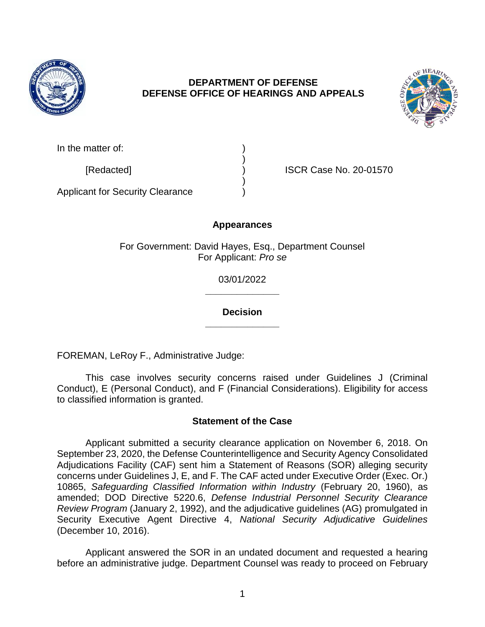

# **DEPARTMENT OF DEFENSE DEFENSE OFFICE OF HEARINGS AND APPEALS**



| In the matter of: |  |
|-------------------|--|
|                   |  |
| $ID = A = A + A$  |  |

[Redacted] ) ISCR Case No. 20-01570

Applicant for Security Clearance )

# **Appearances**

)

For Government: David Hayes, Esq., Department Counsel For Applicant: *Pro se* 

> **\_\_\_\_\_\_\_\_\_\_\_\_\_\_**  03/01/2022

> **\_\_\_\_\_\_\_\_\_\_\_\_\_\_ Decision**

FOREMAN, LeRoy F., Administrative Judge:

 Conduct), E (Personal Conduct), and F (Financial Considerations). Eligibility for access This case involves security concerns raised under Guidelines J (Criminal to classified information is granted.

# **Statement of the Case**

 Applicant submitted a security clearance application on November 6, 2018. On September 23, 2020, the Defense Counterintelligence and Security Agency Consolidated Adjudications Facility (CAF) sent him a Statement of Reasons (SOR) alleging security  10865, *Safeguarding Classified Information within Industry* (February 20, 1960), as Security Executive Agent Directive 4, *National Security Adjudicative Guidelines*  concerns under Guidelines J, E, and F. The CAF acted under Executive Order (Exec. Or.) amended; DOD Directive 5220.6, *Defense Industrial Personnel Security Clearance Review Program* (January 2, 1992), and the adjudicative guidelines (AG) promulgated in (December 10, 2016).

 Applicant answered the SOR in an undated document and requested a hearing before an administrative judge. Department Counsel was ready to proceed on February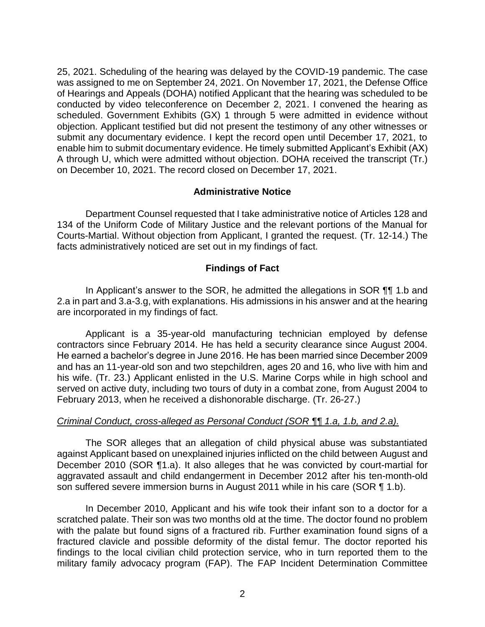25, 2021. Scheduling of the hearing was delayed by the COVID-19 pandemic. The case was assigned to me on September 24, 2021. On November 17, 2021, the Defense Office of Hearings and Appeals (DOHA) notified Applicant that the hearing was scheduled to be conducted by video teleconference on December 2, 2021. I convened the hearing as scheduled. Government Exhibits (GX) 1 through 5 were admitted in evidence without objection. Applicant testified but did not present the testimony of any other witnesses or submit any documentary evidence. I kept the record open until December 17, 2021, to enable him to submit documentary evidence. He timely submitted Applicant's Exhibit (AX) A through U, which were admitted without objection. DOHA received the transcript (Tr.) on December 10, 2021. The record closed on December 17, 2021.

## **Administrative Notice**

 Department Counsel requested that I take administrative notice of Articles 128 and 134 of the Uniform Code of Military Justice and the relevant portions of the Manual for Courts-Martial. Without objection from Applicant, I granted the request. (Tr. 12-14.) The facts administratively noticed are set out in my findings of fact.

### **Findings of Fact**

In Applicant's answer to the SOR, he admitted the allegations in SOR ¶¶ 1.b and 2.a in part and 3.a-3.g, with explanations. His admissions in his answer and at the hearing are incorporated in my findings of fact.

 Applicant is a 35-year-old manufacturing technician employed by defense contractors since February 2014. He has held a security clearance since August 2004. He earned a bachelor's degree in June 2016. He has been married since December 2009 and has an 11-year-old son and two stepchildren, ages 20 and 16, who live with him and his wife. (Tr. 23.) Applicant enlisted in the U.S. Marine Corps while in high school and served on active duty, including two tours of duty in a combat zone, from August 2004 to February 2013, when he received a dishonorable discharge. (Tr. 26-27.)

### *Criminal Conduct, cross-alleged as Personal Conduct (SOR ¶¶ 1.a, 1.b, and 2.a).*

 The SOR alleges that an allegation of child physical abuse was substantiated against Applicant based on unexplained injuries inflicted on the child between August and December 2010 (SOR ¶1.a). It also alleges that he was convicted by court-martial for aggravated assault and child endangerment in December 2012 after his ten-month-old son suffered severe immersion burns in August 2011 while in his care (SOR ¶ 1.b).

 In December 2010, Applicant and his wife took their infant son to a doctor for a scratched palate. Their son was two months old at the time. The doctor found no problem with the palate but found signs of a fractured rib. Further examination found signs of a fractured clavicle and possible deformity of the distal femur. The doctor reported his findings to the local civilian child protection service, who in turn reported them to the military family advocacy program (FAP). The FAP Incident Determination Committee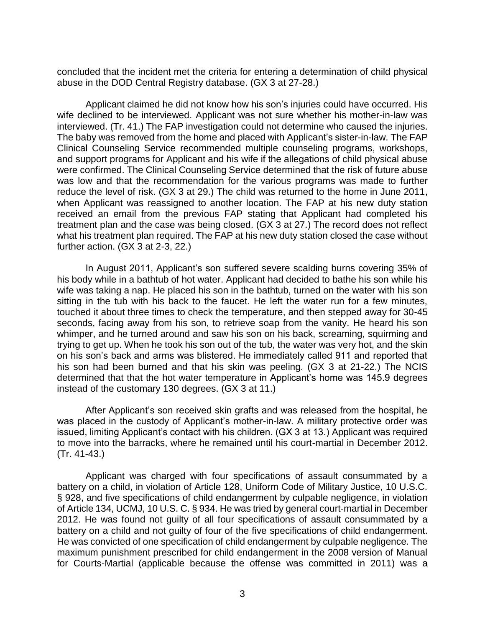concluded that the incident met the criteria for entering a determination of child physical abuse in the DOD Central Registry database. (GX 3 at 27-28.)

 Applicant claimed he did not know how his son's injuries could have occurred. His wife declined to be interviewed. Applicant was not sure whether his mother-in-law was interviewed. (Tr. 41.) The FAP investigation could not determine who caused the injuries. The baby was removed from the home and placed with Applicant's sister-in-law. The FAP Clinical Counseling Service recommended multiple counseling programs, workshops, were confirmed. The Clinical Counseling Service determined that the risk of future abuse was low and that the recommendation for the various programs was made to further reduce the level of risk. (GX 3 at 29.) The child was returned to the home in June 2011, when Applicant was reassigned to another location. The FAP at his new duty station received an email from the previous FAP stating that Applicant had completed his treatment plan and the case was being closed. (GX 3 at 27.) The record does not reflect what his treatment plan required. The FAP at his new duty station closed the case without and support programs for Applicant and his wife if the allegations of child physical abuse further action. (GX 3 at 2-3, 22.)

 In August 2011, Applicant's son suffered severe scalding burns covering 35% of his body while in a bathtub of hot water. Applicant had decided to bathe his son while his wife was taking a nap. He placed his son in the bathtub, turned on the water with his son sitting in the tub with his back to the faucet. He left the water run for a few minutes, touched it about three times to check the temperature, and then stepped away for 30-45 seconds, facing away from his son, to retrieve soap from the vanity. He heard his son whimper, and he turned around and saw his son on his back, screaming, squirming and trying to get up. When he took his son out of the tub, the water was very hot, and the skin on his son's back and arms was blistered. He immediately called 911 and reported that his son had been burned and that his skin was peeling. (GX 3 at 21-22.) The NCIS determined that that the hot water temperature in Applicant's home was 145.9 degrees instead of the customary 130 degrees. (GX 3 at 11.)

 After Applicant's son received skin grafts and was released from the hospital, he was placed in the custody of Applicant's mother-in-law. A military protective order was issued, limiting Applicant's contact with his children. (GX 3 at 13.) Applicant was required to move into the barracks, where he remained until his court-martial in December 2012. (Tr. 41-43.)

 Applicant was charged with four specifications of assault consummated by a battery on a child, in violation of Article 128, Uniform Code of Military Justice, 10 U.S.C. § 928, and five specifications of child endangerment by culpable negligence, in violation of Article 134, UCMJ, 10 U.S. C. § 934. He was tried by general court-martial in December 2012. He was found not guilty of all four specifications of assault consummated by a battery on a child and not guilty of four of the five specifications of child endangerment. He was convicted of one specification of child endangerment by culpable negligence. The maximum punishment prescribed for child endangerment in the 2008 version of Manual for Courts-Martial (applicable because the offense was committed in 2011) was a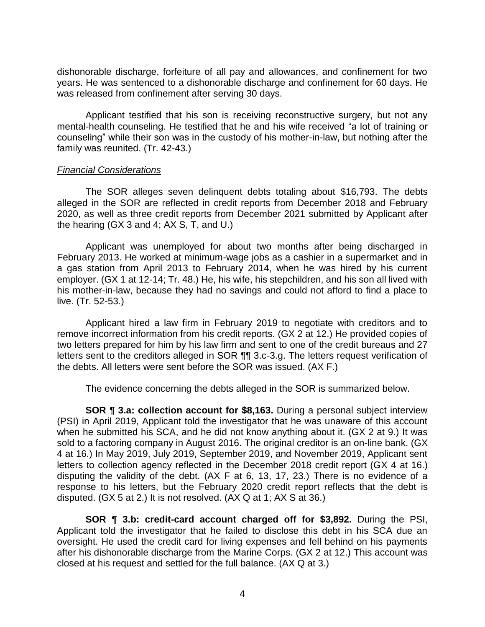dishonorable discharge, forfeiture of all pay and allowances, and confinement for two years. He was sentenced to a dishonorable discharge and confinement for 60 days. He was released from confinement after serving 30 days.

 Applicant testified that his son is receiving reconstructive surgery, but not any mental-health counseling. He testified that he and his wife received "a lot of training or counseling" while their son was in the custody of his mother-in-law, but nothing after the family was reunited. (Tr. 42-43.)

### *Financial Considerations*

 The SOR alleges seven delinquent debts totaling about \$16,793. The debts alleged in the SOR are reflected in credit reports from December 2018 and February 2020, as well as three credit reports from December 2021 submitted by Applicant after the hearing (GX 3 and 4; AX S, T, and U.)

 Applicant was unemployed for about two months after being discharged in February 2013. He worked at minimum-wage jobs as a cashier in a supermarket and in a gas station from April 2013 to February 2014, when he was hired by his current employer. (GX 1 at 12-14; Tr. 48.) He, his wife, his stepchildren, and his son all lived with his mother-in-law, because they had no savings and could not afford to find a place to live. (Tr. 52-53.)

 Applicant hired a law firm in February 2019 to negotiate with creditors and to remove incorrect information from his credit reports. (GX 2 at 12.) He provided copies of two letters prepared for him by his law firm and sent to one of the credit bureaus and 27 letters sent to the creditors alleged in SOR ¶¶ 3.c-3.g. The letters request verification of the debts. All letters were sent before the SOR was issued. (AX F.)

The evidence concerning the debts alleged in the SOR is summarized below.

 **SOR ¶ 3.a: collection account for \$8,163.** During a personal subject interview when he submitted his SCA, and he did not know anything about it. (GX 2 at 9.) It was 4 at 16.) In May 2019, July 2019, September 2019, and November 2019, Applicant sent letters to collection agency reflected in the December 2018 credit report (GX 4 at 16.) disputing the validity of the debt. (AX F at 6, 13, 17, 23.) There is no evidence of a response to his letters, but the February 2020 credit report reflects that the debt is (PSI) in April 2019, Applicant told the investigator that he was unaware of this account sold to a factoring company in August 2016. The original creditor is an on-line bank. (GX disputed. (GX 5 at 2.) It is not resolved. (AX Q at 1; AX S at 36.)

 **SOR ¶ 3.b: credit-card account charged off for \$3,892.** During the PSI, Applicant told the investigator that he failed to disclose this debt in his SCA due an oversight. He used the credit card for living expenses and fell behind on his payments after his dishonorable discharge from the Marine Corps. (GX 2 at 12.) This account was closed at his request and settled for the full balance. (AX Q at 3.)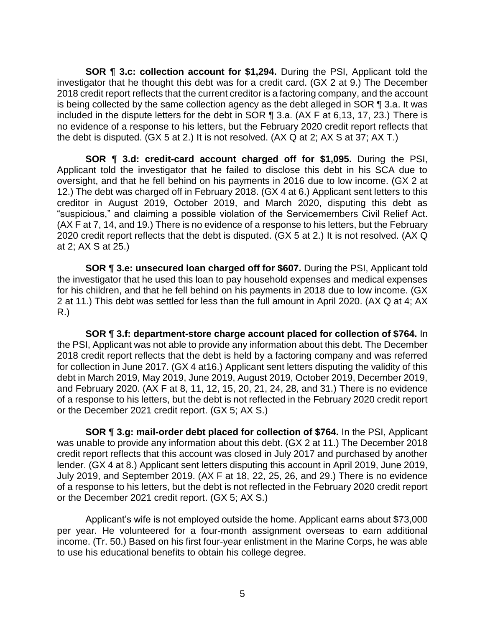**SOR ¶ 3.c: collection account for \$1,294.** During the PSI, Applicant told the investigator that he thought this debt was for a credit card. (GX 2 at 9.) The December 2018 credit report reflects that the current creditor is a factoring company, and the account is being collected by the same collection agency as the debt alleged in SOR  $\P$  3.a. It was included in the dispute letters for the debt in SOR ¶ 3.a. (AX F at 6,13, 17, 23.) There is no evidence of a response to his letters, but the February 2020 credit report reflects that the debt is disputed. (GX 5 at 2.) It is not resolved. (AX Q at 2; AX S at 37; AX T.)

 **SOR ¶ 3.d: credit-card account charged off for \$1,095.** During the PSI, Applicant told the investigator that he failed to disclose this debt in his SCA due to oversight, and that he fell behind on his payments in 2016 due to low income. (GX 2 at 12.) The debt was charged off in February 2018. (GX 4 at 6.) Applicant sent letters to this "suspicious," and claiming a possible violation of the Servicemembers Civil Relief Act. (AX F at 7, 14, and 19.) There is no evidence of a response to his letters, but the February 2020 credit report reflects that the debt is disputed. (GX 5 at 2.) It is not resolved. (AX Q creditor in August 2019, October 2019, and March 2020, disputing this debt as at 2; AX S at 25.)

 **SOR ¶ 3.e: unsecured loan charged off for \$607.** During the PSI, Applicant told the investigator that he used this loan to pay household expenses and medical expenses for his children, and that he fell behind on his payments in 2018 due to low income. (GX 2 at 11.) This debt was settled for less than the full amount in April 2020. (AX Q at 4; AX R.)

 the PSI, Applicant was not able to provide any information about this debt. The December 2018 credit report reflects that the debt is held by a factoring company and was referred for collection in June 2017. (GX 4 at16.) Applicant sent letters disputing the validity of this debt in March 2019, May 2019, June 2019, August 2019, October 2019, December 2019, of a response to his letters, but the debt is not reflected in the February 2020 credit report **SOR ¶ 3.f: department-store charge account placed for collection of \$764.** In and February 2020. (AX F at 8, 11, 12, 15, 20, 21, 24, 28, and 31.) There is no evidence or the December 2021 credit report. (GX 5; AX S.)

 was unable to provide any information about this debt. (GX 2 at 11.) The December 2018 credit report reflects that this account was closed in July 2017 and purchased by another lender. (GX 4 at 8.) Applicant sent letters disputing this account in April 2019, June 2019, July 2019, and September 2019. (AX F at 18, 22, 25, 26, and 29.) There is no evidence of a response to his letters, but the debt is not reflected in the February 2020 credit report **SOR ¶ 3.g: mail-order debt placed for collection of \$764.** In the PSI, Applicant or the December 2021 credit report. (GX 5; AX S.)

 Applicant's wife is not employed outside the home. Applicant earns about \$73,000 per year. He volunteered for a four-month assignment overseas to earn additional income. (Tr. 50.) Based on his first four-year enlistment in the Marine Corps, he was able to use his educational benefits to obtain his college degree.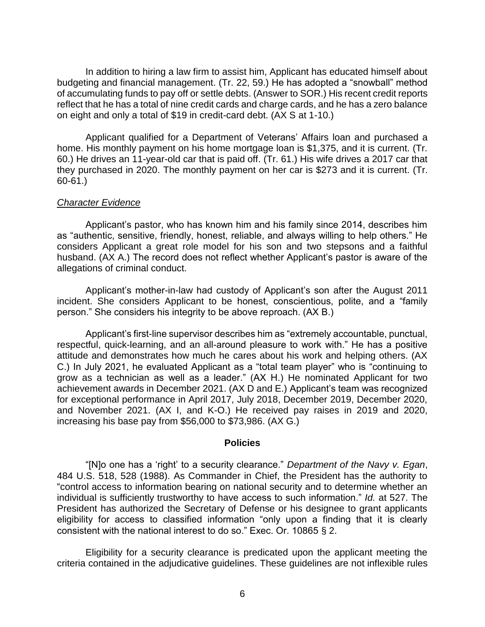In addition to hiring a law firm to assist him, Applicant has educated himself about budgeting and financial management. (Tr. 22, 59.) He has adopted a "snowball" method of accumulating funds to pay off or settle debts. (Answer to SOR.) His recent credit reports reflect that he has a total of nine credit cards and charge cards, and he has a zero balance on eight and only a total of \$19 in credit-card debt. (AX S at 1-10.)

 Applicant qualified for a Department of Veterans' Affairs loan and purchased a home. His monthly payment on his home mortgage loan is \$1,375, and it is current. (Tr. 60.) He drives an 11-year-old car that is paid off. (Tr. 61.) His wife drives a 2017 car that they purchased in 2020. The monthly payment on her car is \$273 and it is current. (Tr. 60-61.)

### *Character Evidence*

 Applicant's pastor, who has known him and his family since 2014, describes him as "authentic, sensitive, friendly, honest, reliable, and always willing to help others." He considers Applicant a great role model for his son and two stepsons and a faithful husband. (AX A.) The record does not reflect whether Applicant's pastor is aware of the allegations of criminal conduct.

 Applicant's mother-in-law had custody of Applicant's son after the August 2011 incident. She considers Applicant to be honest, conscientious, polite, and a "family person." She considers his integrity to be above reproach. (AX B.)

 Applicant's first-line supervisor describes him as "extremely accountable, punctual, respectful, quick-learning, and an all-around pleasure to work with." He has a positive attitude and demonstrates how much he cares about his work and helping others. (AX C.) In July 2021, he evaluated Applicant as a "total team player" who is "continuing to grow as a technician as well as a leader." (AX H.) He nominated Applicant for two achievement awards in December 2021. (AX D and E.) Applicant's team was recognized for exceptional performance in April 2017, July 2018, December 2019, December 2020, and November 2021. (AX I, and K-O.) He received pay raises in 2019 and 2020, increasing his base pay from \$56,000 to \$73,986. (AX G.)

#### **Policies**

 "[N]o one has a 'right' to a security clearance." *Department of the Navy v. Egan*, 484 U.S. 518, 528 (1988). As Commander in Chief, the President has the authority to "control access to information bearing on national security and to determine whether an individual is sufficiently trustworthy to have access to such information." *Id.* at 527. The President has authorized the Secretary of Defense or his designee to grant applicants eligibility for access to classified information "only upon a finding that it is clearly consistent with the national interest to do so." Exec. Or. 10865 § 2.

 Eligibility for a security clearance is predicated upon the applicant meeting the criteria contained in the adjudicative guidelines. These guidelines are not inflexible rules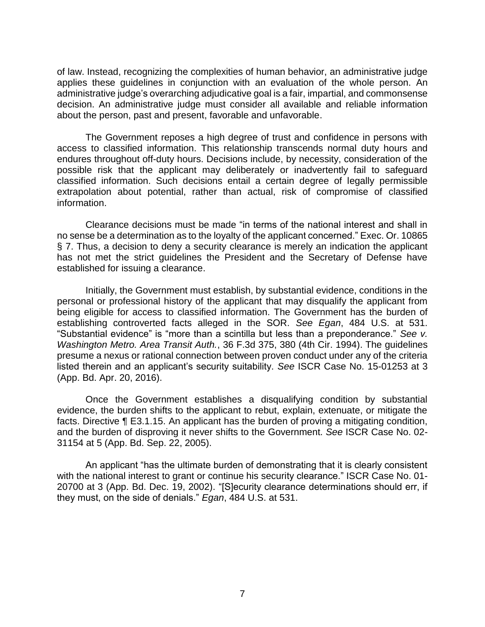applies these guidelines in conjunction with an evaluation of the whole person. An administrative judge's overarching adjudicative goal is a fair, impartial, and commonsense about the person, past and present, favorable and unfavorable. of law. Instead, recognizing the complexities of human behavior, an administrative judge decision. An administrative judge must consider all available and reliable information

 The Government reposes a high degree of trust and confidence in persons with access to classified information. This relationship transcends normal duty hours and endures throughout off-duty hours. Decisions include, by necessity, consideration of the possible risk that the applicant may deliberately or inadvertently fail to safeguard classified information. Such decisions entail a certain degree of legally permissible extrapolation about potential, rather than actual, risk of compromise of classified information.

 Clearance decisions must be made "in terms of the national interest and shall in no sense be a determination as to the loyalty of the applicant concerned." Exec. Or. 10865 § 7. Thus, a decision to deny a security clearance is merely an indication the applicant has not met the strict guidelines the President and the Secretary of Defense have established for issuing a clearance.

 Initially, the Government must establish, by substantial evidence, conditions in the personal or professional history of the applicant that may disqualify the applicant from being eligible for access to classified information. The Government has the burden of establishing controverted facts alleged in the SOR. *See Egan*, 484 U.S. at 531. "Substantial evidence" is "more than a scintilla but less than a preponderance." *See v. Washington Metro. Area Transit Auth.*, 36 F.3d 375, 380 (4th Cir. 1994). The guidelines presume a nexus or rational connection between proven conduct under any of the criteria listed therein and an applicant's security suitability. *See* ISCR Case No. 15-01253 at 3 (App. Bd. Apr. 20, 2016).

Once the Government establishes a disqualifying condition by substantial evidence, the burden shifts to the applicant to rebut, explain, extenuate, or mitigate the facts. Directive ¶ E3.1.15. An applicant has the burden of proving a mitigating condition, and the burden of disproving it never shifts to the Government. *See* ISCR Case No. 02- 31154 at 5 (App. Bd. Sep. 22, 2005).

An applicant "has the ultimate burden of demonstrating that it is clearly consistent with the national interest to grant or continue his security clearance." ISCR Case No. 01- 20700 at 3 (App. Bd. Dec. 19, 2002). "[S]ecurity clearance determinations should err, if they must, on the side of denials." *Egan*, 484 U.S. at 531.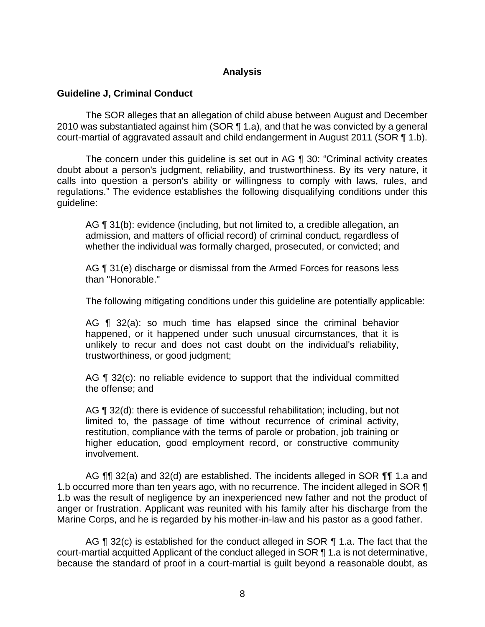## **Analysis**

## **Guideline J, Criminal Conduct**

 The SOR alleges that an allegation of child abuse between August and December 2010 was substantiated against him (SOR  $\P$  1.a), and that he was convicted by a general court-martial of aggravated assault and child endangerment in August 2011 (SOR ¶ 1.b).

 The concern under this guideline is set out in AG ¶ 30: "Criminal activity creates doubt about a person's judgment, reliability, and trustworthiness. By its very nature, it calls into question a person's ability or willingness to comply with laws, rules, and regulations." The evidence establishes the following disqualifying conditions under this guideline:

AG ¶ 31(b): evidence (including, but not limited to, a credible allegation, an admission, and matters of official record) of criminal conduct, regardless of whether the individual was formally charged, prosecuted, or convicted; and

AG  $\P$  31(e) discharge or dismissal from the Armed Forces for reasons less than "Honorable."

The following mitigating conditions under this guideline are potentially applicable:

 AG ¶ 32(a): so much time has elapsed since the criminal behavior unlikely to recur and does not cast doubt on the individual's reliability, happened, or it happened under such unusual circumstances, that it is trustworthiness, or good judgment;

AG ¶ 32(c): no reliable evidence to support that the individual committed the offense; and

 limited to, the passage of time without recurrence of criminal activity, restitution, compliance with the terms of parole or probation, job training or AG ¶ 32(d): there is evidence of successful rehabilitation; including, but not higher education, good employment record, or constructive community involvement.

AG ¶¶ 32(a) and 32(d) are established. The incidents alleged in SOR ¶¶ 1.a and 1.b occurred more than ten years ago, with no recurrence. The incident alleged in SOR ¶ 1.b was the result of negligence by an inexperienced new father and not the product of anger or frustration. Applicant was reunited with his family after his discharge from the Marine Corps, and he is regarded by his mother-in-law and his pastor as a good father.

AG ¶ 32(c) is established for the conduct alleged in SOR ¶ 1.a. The fact that the court-martial acquitted Applicant of the conduct alleged in SOR ¶ 1.a is not determinative, because the standard of proof in a court-martial is guilt beyond a reasonable doubt, as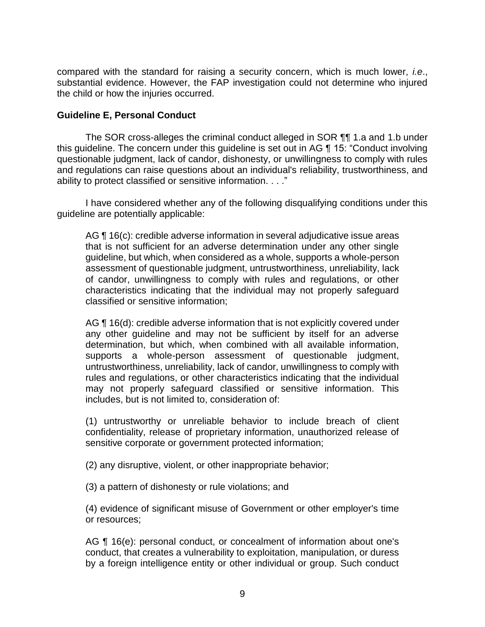compared with the standard for raising a security concern, which is much lower, *i.e*., substantial evidence. However, the FAP investigation could not determine who injured the child or how the injuries occurred.

## **Guideline E, Personal Conduct**

 The SOR cross-alleges the criminal conduct alleged in SOR ¶¶ 1.a and 1.b under questionable judgment, lack of candor, dishonesty, or unwillingness to comply with rules and regulations can raise questions about an individual's reliability, trustworthiness, and this guideline. The concern under this guideline is set out in AG ¶ 15: "Conduct involving ability to protect classified or sensitive information. . . ."

 I have considered whether any of the following disqualifying conditions under this guideline are potentially applicable:

AG ¶ 16(c): credible adverse information in several adjudicative issue areas that is not sufficient for an adverse determination under any other single guideline, but which, when considered as a whole, supports a whole-person of candor, unwillingness to comply with rules and regulations, or other characteristics indicating that the individual may not properly safeguard assessment of questionable judgment, untrustworthiness, unreliability, lack classified or sensitive information;

AG ¶ 16(d): credible adverse information that is not explicitly covered under any other guideline and may not be sufficient by itself for an adverse determination, but which, when combined with all available information, untrustworthiness, unreliability, lack of candor, unwillingness to comply with rules and regulations, or other characteristics indicating that the individual may not properly safeguard classified or sensitive information. This supports a whole-person assessment of questionable judgment, includes, but is not limited to, consideration of:

 (1) untrustworthy or unreliable behavior to include breach of client confidentiality, release of proprietary information, unauthorized release of sensitive corporate or government protected information;

(2) any disruptive, violent, or other inappropriate behavior;

(3) a pattern of dishonesty or rule violations; and

 (4) evidence of significant misuse of Government or other employer's time or resources;

AG ¶ 16(e): personal conduct, or concealment of information about one's conduct, that creates a vulnerability to exploitation, manipulation, or duress by a foreign intelligence entity or other individual or group. Such conduct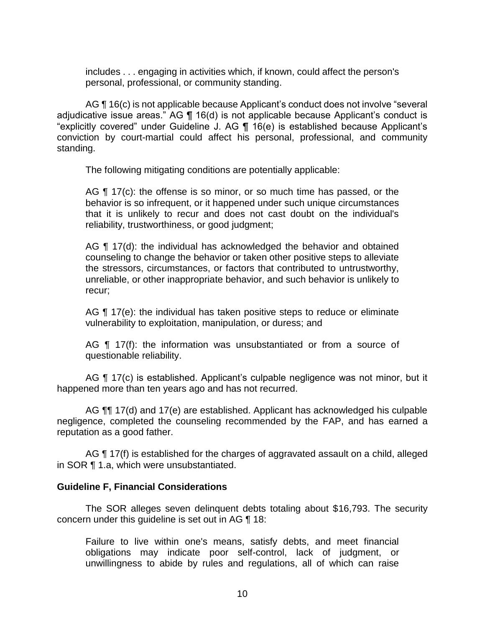includes . . . engaging in activities which, if known, could affect the person's personal, professional, or community standing.

AG ¶ 16(c) is not applicable because Applicant's conduct does not involve "several adjudicative issue areas." AG ¶ 16(d) is not applicable because Applicant's conduct is "explicitly covered" under Guideline J. AG ¶ 16(e) is established because Applicant's conviction by court-martial could affect his personal, professional, and community standing.

The following mitigating conditions are potentially applicable:

AG ¶ 17(c): the offense is so minor, or so much time has passed, or the that it is unlikely to recur and does not cast doubt on the individual's behavior is so infrequent, or it happened under such unique circumstances reliability, trustworthiness, or good judgment;

AG ¶ 17(d): the individual has acknowledged the behavior and obtained counseling to change the behavior or taken other positive steps to alleviate the stressors, circumstances, or factors that contributed to untrustworthy, unreliable, or other inappropriate behavior, and such behavior is unlikely to recur;

AG ¶ 17(e): the individual has taken positive steps to reduce or eliminate vulnerability to exploitation, manipulation, or duress; and

AG ¶ 17(f): the information was unsubstantiated or from a source of questionable reliability.

AG ¶ 17(c) is established. Applicant's culpable negligence was not minor, but it happened more than ten years ago and has not recurred.

AG  $\P$  17(d) and 17(e) are established. Applicant has acknowledged his culpable negligence, completed the counseling recommended by the FAP, and has earned a reputation as a good father.

AG ¶ 17(f) is established for the charges of aggravated assault on a child, alleged in SOR ¶ 1.a, which were unsubstantiated.

## **Guideline F, Financial Considerations**

 The SOR alleges seven delinquent debts totaling about \$16,793. The security concern under this guideline is set out in AG ¶ 18:

 Failure to live within one's means, satisfy debts, and meet financial obligations may indicate poor self-control, lack of judgment, or unwillingness to abide by rules and regulations, all of which can raise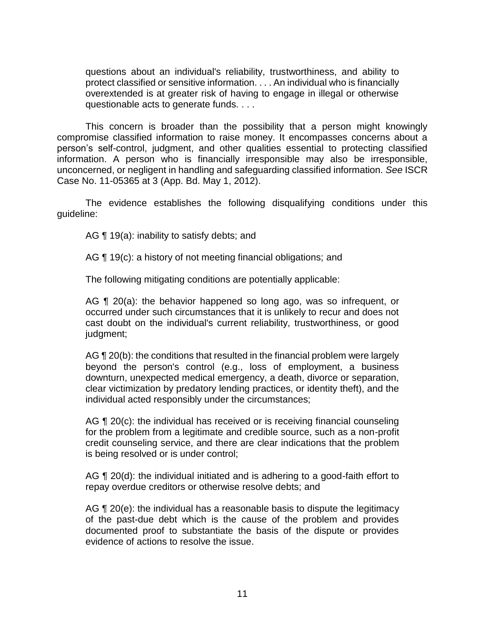questions about an individual's reliability, trustworthiness, and ability to protect classified or sensitive information. . . . An individual who is financially overextended is at greater risk of having to engage in illegal or otherwise questionable acts to generate funds. . . .

 This concern is broader than the possibility that a person might knowingly compromise classified information to raise money. It encompasses concerns about a person's self-control, judgment, and other qualities essential to protecting classified information. A person who is financially irresponsible may also be irresponsible, unconcerned, or negligent in handling and safeguarding classified information. *See* ISCR Case No. 11-05365 at 3 (App. Bd. May 1, 2012).

 The evidence establishes the following disqualifying conditions under this guideline:

AG ¶ 19(a): inability to satisfy debts; and

AG ¶ 19(c): a history of not meeting financial obligations; and

The following mitigating conditions are potentially applicable:

AG ¶ 20(a): the behavior happened so long ago, was so infrequent, or occurred under such circumstances that it is unlikely to recur and does not cast doubt on the individual's current reliability, trustworthiness, or good judgment;

AG ¶ 20(b): the conditions that resulted in the financial problem were largely beyond the person's control (e.g., loss of employment, a business clear victimization by predatory lending practices, or identity theft), and the downturn, unexpected medical emergency, a death, divorce or separation, individual acted responsibly under the circumstances;

AG ¶ 20(c): the individual has received or is receiving financial counseling for the problem from a legitimate and credible source, such as a non-profit credit counseling service, and there are clear indications that the problem is being resolved or is under control;

AG ¶ 20(d): the individual initiated and is adhering to a good-faith effort to repay overdue creditors or otherwise resolve debts; and

AG ¶ 20(e): the individual has a reasonable basis to dispute the legitimacy of the past-due debt which is the cause of the problem and provides documented proof to substantiate the basis of the dispute or provides evidence of actions to resolve the issue.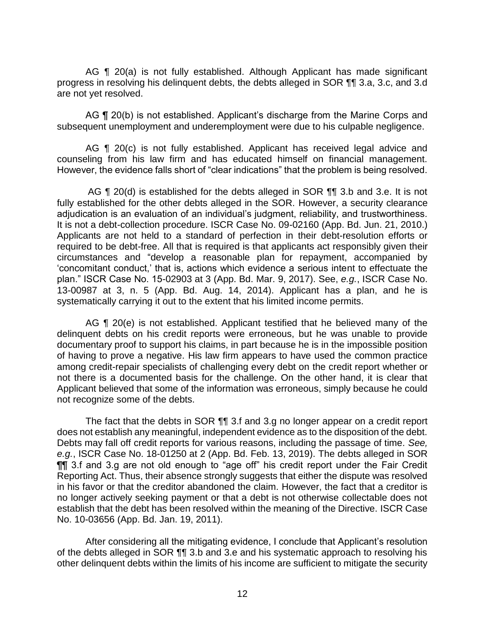AG ¶ 20(a) is not fully established. Although Applicant has made significant progress in resolving his delinquent debts, the debts alleged in SOR ¶¶ 3.a, 3.c, and 3.d are not yet resolved.

AG ¶ 20(b) is not established. Applicant's discharge from the Marine Corps and subsequent unemployment and underemployment were due to his culpable negligence.

AG ¶ 20(c) is not fully established. Applicant has received legal advice and counseling from his law firm and has educated himself on financial management. However, the evidence falls short of "clear indications" that the problem is being resolved.

AG ¶ 20(d) is established for the debts alleged in SOR ¶¶ 3.b and 3.e. It is not fully established for the other debts alleged in the SOR. However, a security clearance adjudication is an evaluation of an individual's judgment, reliability, and trustworthiness. It is not a debt-collection procedure. ISCR Case No. 09-02160 (App. Bd. Jun. 21, 2010.) Applicants are not held to a standard of perfection in their debt-resolution efforts or required to be debt-free. All that is required is that applicants act responsibly given their circumstances and "develop a reasonable plan for repayment, accompanied by 'concomitant conduct,' that is, actions which evidence a serious intent to effectuate the plan." ISCR Case No. 15-02903 at 3 (App. Bd. Mar. 9, 2017). See, *e.g.*, ISCR Case No. 13-00987 at 3, n. 5 (App. Bd. Aug. 14, 2014). Applicant has a plan, and he is systematically carrying it out to the extent that his limited income permits.

AG  $\P$  20(e) is not established. Applicant testified that he believed many of the delinquent debts on his credit reports were erroneous, but he was unable to provide of having to prove a negative. His law firm appears to have used the common practice among credit-repair specialists of challenging every debt on the credit report whether or not there is a documented basis for the challenge. On the other hand, it is clear that Applicant believed that some of the information was erroneous, simply because he could not recognize some of the debts. documentary proof to support his claims, in part because he is in the impossible position

 The fact that the debts in SOR ¶¶ 3.f and 3.g no longer appear on a credit report does not establish any meaningful, independent evidence as to the disposition of the debt. Debts may fall off credit reports for various reasons, including the passage of time. *See, e.g.*, ISCR Case No. 18-01250 at 2 (App. Bd. Feb. 13, 2019). The debts alleged in SOR ¶¶ 3.f and 3.g are not old enough to "age off" his credit report under the Fair Credit Reporting Act. Thus, their absence strongly suggests that either the dispute was resolved in his favor or that the creditor abandoned the claim. However, the fact that a creditor is no longer actively seeking payment or that a debt is not otherwise collectable does not establish that the debt has been resolved within the meaning of the Directive. ISCR Case No. 10-03656 (App. Bd. Jan. 19, 2011).

 After considering all the mitigating evidence, I conclude that Applicant's resolution of the debts alleged in SOR  $\P$  3.b and 3.e and his systematic approach to resolving his other delinquent debts within the limits of his income are sufficient to mitigate the security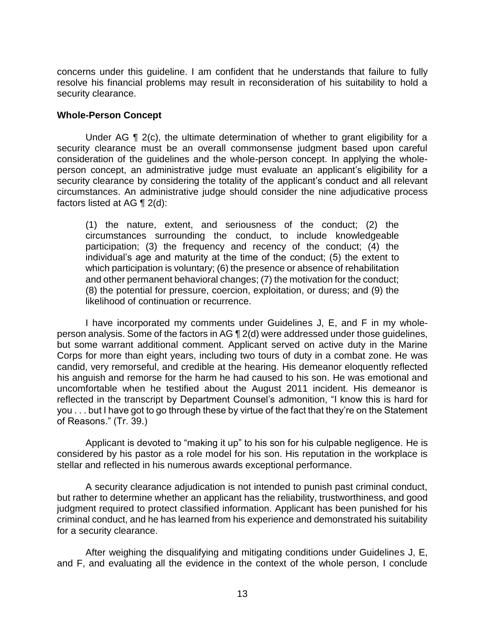concerns under this guideline. I am confident that he understands that failure to fully resolve his financial problems may result in reconsideration of his suitability to hold a security clearance.

### **Whole-Person Concept**

Under AG ¶ 2(c), the ultimate determination of whether to grant eligibility for a security clearance must be an overall commonsense judgment based upon careful consideration of the guidelines and the whole-person concept. In applying the whole- person concept, an administrative judge must evaluate an applicant's eligibility for a security clearance by considering the totality of the applicant's conduct and all relevant circumstances. An administrative judge should consider the nine adjudicative process factors listed at AG ¶ 2(d):

(1) the nature, extent, and seriousness of the conduct; (2) the circumstances surrounding the conduct, to include knowledgeable participation; (3) the frequency and recency of the conduct; (4) the individual's age and maturity at the time of the conduct; (5) the extent to which participation is voluntary; (6) the presence or absence of rehabilitation and other permanent behavioral changes; (7) the motivation for the conduct; (8) the potential for pressure, coercion, exploitation, or duress; and (9) the likelihood of continuation or recurrence.

 I have incorporated my comments under Guidelines J, E, and F in my whole- person analysis. Some of the factors in AG ¶ 2(d) were addressed under those guidelines, but some warrant additional comment. Applicant served on active duty in the Marine Corps for more than eight years, including two tours of duty in a combat zone. He was candid, very remorseful, and credible at the hearing. His demeanor eloquently reflected his anguish and remorse for the harm he had caused to his son. He was emotional and uncomfortable when he testified about the August 2011 incident. His demeanor is reflected in the transcript by Department Counsel's admonition, "I know this is hard for you . . . but I have got to go through these by virtue of the fact that they're on the Statement of Reasons." (Tr. 39.)

 Applicant is devoted to "making it up" to his son for his culpable negligence. He is considered by his pastor as a role model for his son. His reputation in the workplace is stellar and reflected in his numerous awards exceptional performance.

 A security clearance adjudication is not intended to punish past criminal conduct, but rather to determine whether an applicant has the reliability, trustworthiness, and good judgment required to protect classified information. Applicant has been punished for his criminal conduct, and he has learned from his experience and demonstrated his suitability for a security clearance.

 After weighing the disqualifying and mitigating conditions under Guidelines J, E, and F, and evaluating all the evidence in the context of the whole person, I conclude